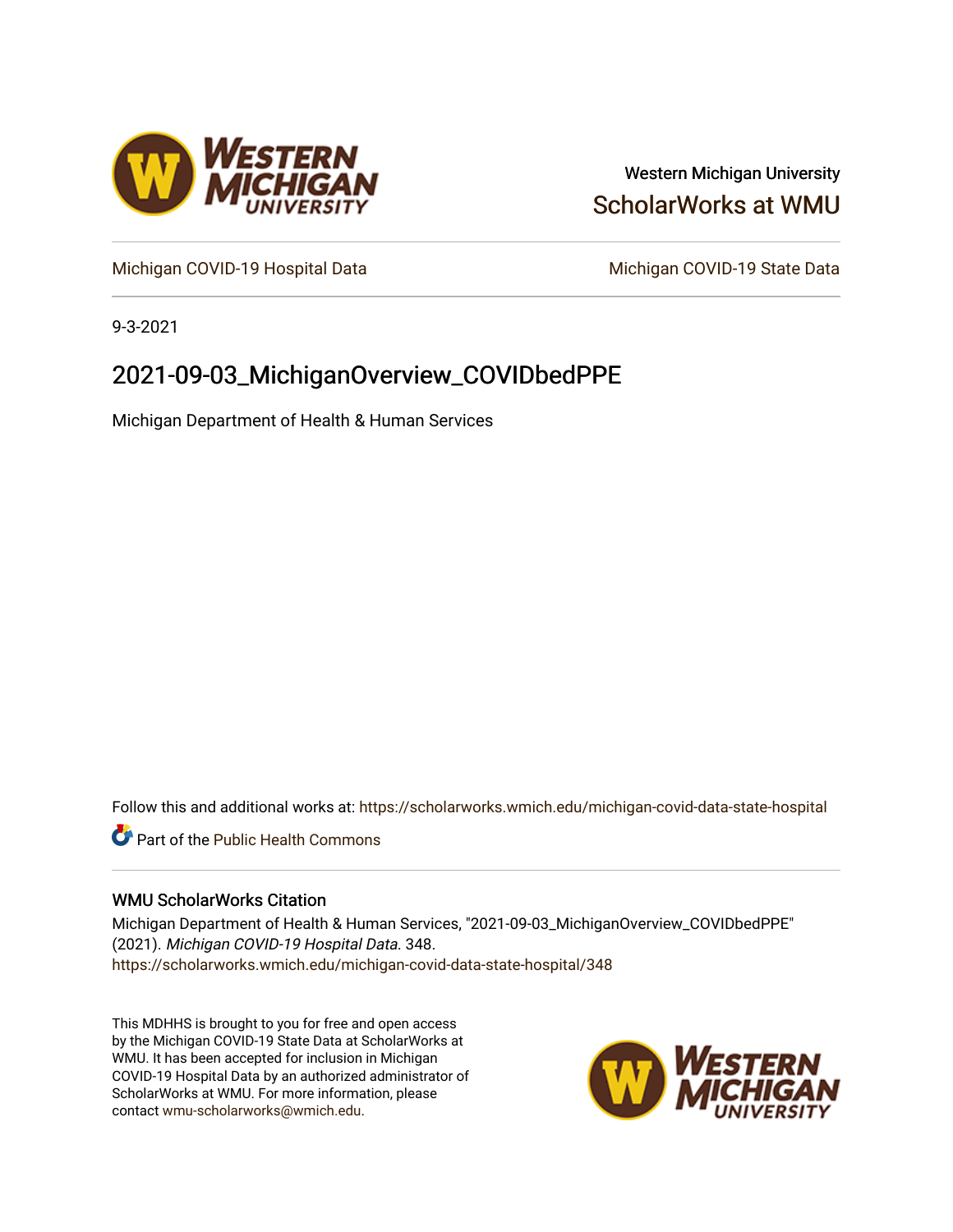

## Western Michigan University [ScholarWorks at WMU](https://scholarworks.wmich.edu/)

[Michigan COVID-19 Hospital Data](https://scholarworks.wmich.edu/michigan-covid-data-state-hospital) Michigan COVID-19 State Data

9-3-2021

# 2021-09-03\_MichiganOverview\_COVIDbedPPE

Michigan Department of Health & Human Services

Follow this and additional works at: [https://scholarworks.wmich.edu/michigan-covid-data-state-hospital](https://scholarworks.wmich.edu/michigan-covid-data-state-hospital?utm_source=scholarworks.wmich.edu%2Fmichigan-covid-data-state-hospital%2F348&utm_medium=PDF&utm_campaign=PDFCoverPages) 

**Part of the Public Health Commons** 

## WMU ScholarWorks Citation

Michigan Department of Health & Human Services, "2021-09-03\_MichiganOverview\_COVIDbedPPE" (2021). Michigan COVID-19 Hospital Data. 348. [https://scholarworks.wmich.edu/michigan-covid-data-state-hospital/348](https://scholarworks.wmich.edu/michigan-covid-data-state-hospital/348?utm_source=scholarworks.wmich.edu%2Fmichigan-covid-data-state-hospital%2F348&utm_medium=PDF&utm_campaign=PDFCoverPages) 

This MDHHS is brought to you for free and open access by the Michigan COVID-19 State Data at ScholarWorks at WMU. It has been accepted for inclusion in Michigan COVID-19 Hospital Data by an authorized administrator of ScholarWorks at WMU. For more information, please contact [wmu-scholarworks@wmich.edu](mailto:wmu-scholarworks@wmich.edu).

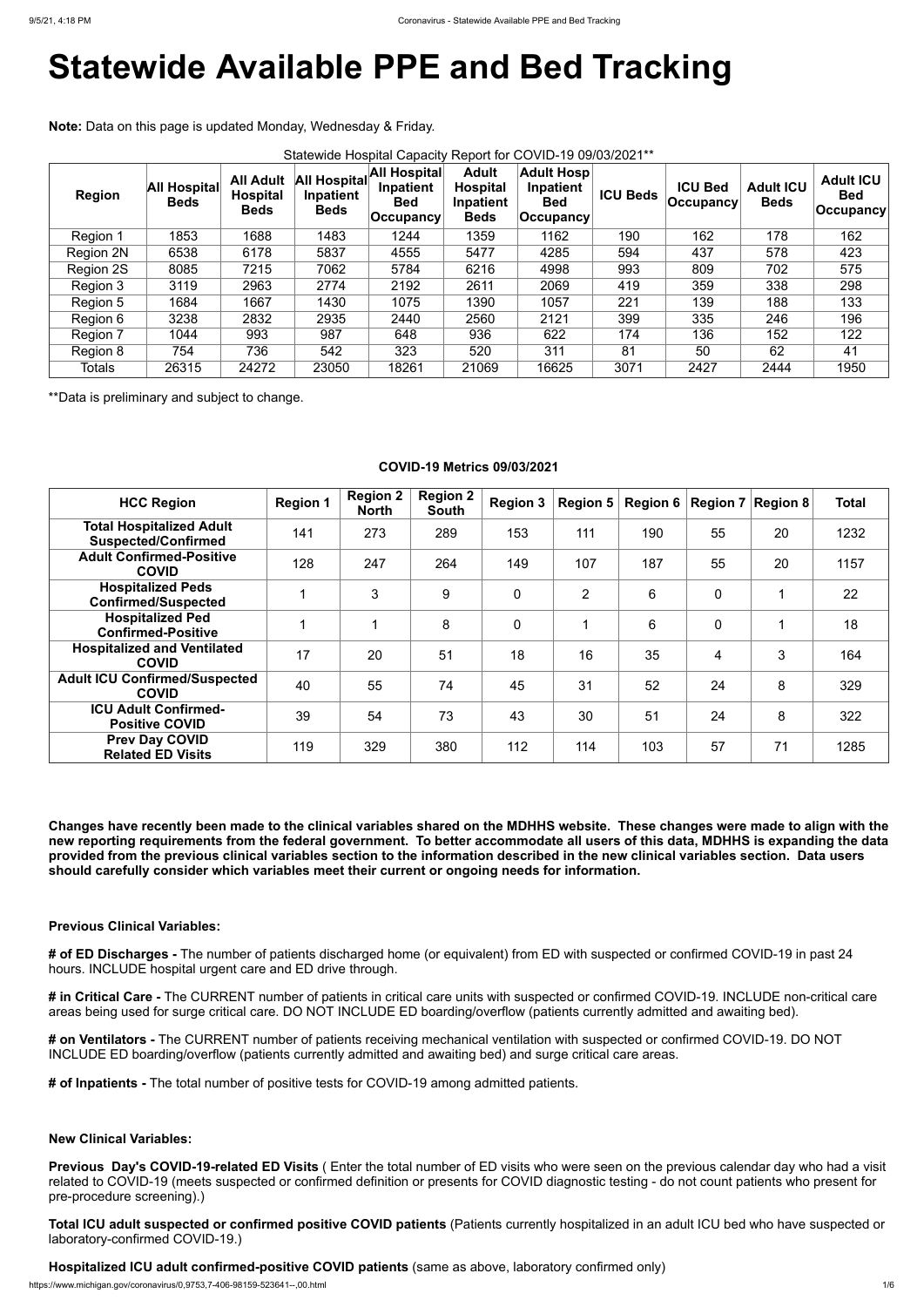# **Statewide Available PPE and Bed Tracking**

**Note:** Data on this page is updated Monday, Wednesday & Friday.

| Statewide Hospital Capacity Report for COVID-19 09/03/2021** |                                    |                                                    |                                                 |                                                          |                                                             |                                                               |                 |                                    |                                 |                                                     |
|--------------------------------------------------------------|------------------------------------|----------------------------------------------------|-------------------------------------------------|----------------------------------------------------------|-------------------------------------------------------------|---------------------------------------------------------------|-----------------|------------------------------------|---------------------------------|-----------------------------------------------------|
| <b>Region</b>                                                | <b>All Hospital</b><br><b>Beds</b> | <b>All Adult</b><br><b>Hospital</b><br><b>Beds</b> | <b>All Hospital</b><br>Inpatient<br><b>Beds</b> | All Hospital<br>Inpatient<br><b>Bed</b><br>$ $ Occupancy | <b>Adult</b><br><b>Hospital</b><br>Inpatient<br><b>Beds</b> | <b>Adult Hosp</b><br>Inpatient<br><b>Bed</b><br>$ $ Occupancy | <b>ICU Beds</b> | <b>ICU Bed</b><br><b>Occupancy</b> | <b>Adult ICU</b><br><b>Beds</b> | <b>Adult ICU</b><br><b>Bed</b><br>$ $ Occupancy $ $ |
| Region 1                                                     | 1853                               | 1688                                               | 1483                                            | 1244                                                     | 1359                                                        | 1162                                                          | 190             | 162                                | 178                             | 162                                                 |
| <b>Region 2N</b>                                             | 6538                               | 6178                                               | 5837                                            | 4555                                                     | 5477                                                        | 4285                                                          | 594             | 437                                | 578                             | 423                                                 |
| Region 2S                                                    | 8085                               | 7215                                               | 7062                                            | 5784                                                     | 6216                                                        | 4998                                                          | 993             | 809                                | 702                             | 575                                                 |
| Region 3                                                     | 3119                               | 2963                                               | 2774                                            | 2192                                                     | 2611                                                        | 2069                                                          | 419             | 359                                | 338                             | 298                                                 |
| Region 5                                                     | 1684                               | 1667                                               | 1430                                            | 1075                                                     | 1390                                                        | 1057                                                          | 221             | 139                                | 188                             | 133                                                 |
| Region 6                                                     | 3238                               | 2832                                               | 2935                                            | 2440                                                     | 2560                                                        | 2121                                                          | 399             | 335                                | 246                             | 196                                                 |
| Region 7                                                     | 1044                               | 993                                                | 987                                             | 648                                                      | 936                                                         | 622                                                           | 174             | 136                                | 152                             | 122                                                 |
| Region 8                                                     | 754                                | 736                                                | 542                                             | 323                                                      | 520                                                         | 311                                                           | 81              | 50                                 | 62                              | 41                                                  |
| <b>Totals</b>                                                | 26315                              | 24272                                              | 23050                                           | 18261                                                    | 21069                                                       | 16625                                                         | 3071            | 2427                               | 2444                            | 1950                                                |

\*\*Data is preliminary and subject to change.

## **COVID-19 Metrics 09/03/2021**

| <b>HCC Region</b>                                             | <b>Region 1</b> | <b>Region 2</b><br><b>North</b> | <b>Region 2</b><br><b>South</b> | <b>Region 3</b> | Region $5 \mid$ | Region 6 $ $ |                | Region $7 \mid$ Region 8 | <b>Total</b> |
|---------------------------------------------------------------|-----------------|---------------------------------|---------------------------------|-----------------|-----------------|--------------|----------------|--------------------------|--------------|
| <b>Total Hospitalized Adult</b><br><b>Suspected/Confirmed</b> | 141             | 273                             | 289                             | 153             | 111             | 190          | 55             | 20                       | 1232         |
| <b>Adult Confirmed-Positive</b><br><b>COVID</b>               | 128             | 247                             | 264                             | 149             | 107             | 187          | 55             | 20                       | 1157         |
| <b>Hospitalized Peds</b><br><b>Confirmed/Suspected</b>        | 1               | 3                               | 9                               | $\mathbf 0$     | $\overline{2}$  | 6            | $\overline{0}$ | 1                        | 22           |
| <b>Hospitalized Ped</b><br><b>Confirmed-Positive</b>          |                 |                                 | 8                               | $\overline{0}$  |                 | 6            | $\overline{0}$ | 1                        | 18           |
| <b>Hospitalized and Ventilated</b><br><b>COVID</b>            | 17              | 20                              | 51                              | 18              | 16              | 35           | $\overline{4}$ | 3                        | 164          |
| <b>Adult ICU Confirmed/Suspected</b><br><b>COVID</b>          | 40              | 55                              | 74                              | 45              | 31              | 52           | 24             | 8                        | 329          |
| <b>ICU Adult Confirmed-</b><br><b>Positive COVID</b>          | 39              | 54                              | 73                              | 43              | 30              | 51           | 24             | 8                        | 322          |
| <b>Prev Day COVID</b><br><b>Related ED Visits</b>             | 119             | 329                             | 380                             | 112             | 114             | 103          | 57             | 71                       | 1285         |

**Changes have recently been made to the clinical variables shared on the MDHHS website. These changes were made to align with the new reporting requirements from the federal government. To better accommodate all users of this data, MDHHS is expanding the data provided from the previous clinical variables section to the information described in the new clinical variables section. Data users should carefully consider which variables meet their current or ongoing needs for information.**

## **Previous Clinical Variables:**

**# of ED Discharges -** The number of patients discharged home (or equivalent) from ED with suspected or confirmed COVID-19 in past 24 hours. INCLUDE hospital urgent care and ED drive through.

**# in Critical Care -** The CURRENT number of patients in critical care units with suspected or confirmed COVID-19. INCLUDE non-critical care areas being used for surge critical care. DO NOT INCLUDE ED boarding/overflow (patients currently admitted and awaiting bed).

**# on Ventilators -** The CURRENT number of patients receiving mechanical ventilation with suspected or confirmed COVID-19. DO NOT INCLUDE ED boarding/overflow (patients currently admitted and awaiting bed) and surge critical care areas.

**# of Inpatients -** The total number of positive tests for COVID-19 among admitted patients.

**New Clinical Variables:**

**Previous Day's COVID-19-related ED Visits** ( Enter the total number of ED visits who were seen on the previous calendar day who had a visit related to COVID-19 (meets suspected or confirmed definition or presents for COVID diagnostic testing - do not count patients who present for pre-procedure screening).)

**Total ICU adult suspected or confirmed positive COVID patients** (Patients currently hospitalized in an adult ICU bed who have suspected or laboratory-confirmed COVID-19.)

**Hospitalized ICU adult confirmed-positive COVID patients** (same as above, laboratory confirmed only)

https://www.michigan.gov/coronavirus/0,9753,7-406-98159-523641--,00.html 1/6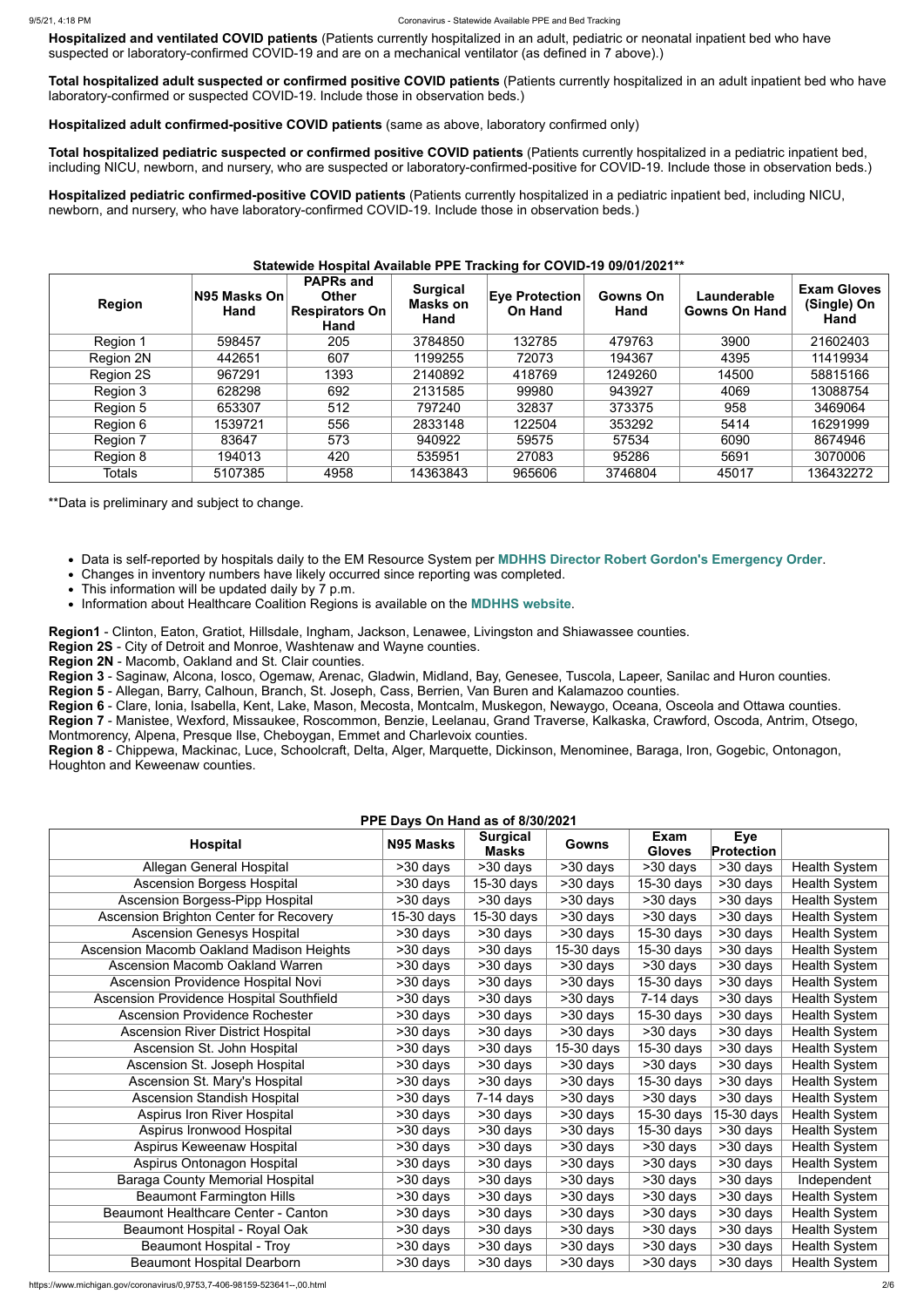**Hospitalized and ventilated COVID patients** (Patients currently hospitalized in an adult, pediatric or neonatal inpatient bed who have suspected or laboratory-confirmed COVID-19 and are on a mechanical ventilator (as defined in 7 above).)

**Total hospitalized adult suspected or confirmed positive COVID patients** (Patients currently hospitalized in an adult inpatient bed who have laboratory-confirmed or suspected COVID-19. Include those in observation beds.)

#### **Statewide Hospital Available PPE Tracking for COVID-19 09/01/2021\*\* Region N95 Masks On Hand PAPRs and Other Respirators On Hand Surgical Masks on Hand Eye Protection On Hand Gowns On Hand Launderable Gowns On Hand Exam Gloves (Single) On Hand** Region 1 | 598457 | 205 | 3784850 | 132785 | 479763 | 3900 | 21602403 Region 2N | 442651 | 607 | 1199255 | 72073 | 194367 | 4395 | 11419934 Region 2S | 967291 | 1393 | 2140892 | 418769 | 1249260 | 14500 | 58815166 Region 3 | 628298 | 692 | 2131585 | 99980 | 943927 | 4069 | 13088754 Region 5 | 653307 | 512 | 797240 | 32837 | 373375 | 958 | 3469064 Region 6 | 1539721 | 556 | 2833148 | 122504 | 353292 | 5414 | 16291999 Region 7 | 83647 | 573 | 940922 | 59575 | 57534 | 6090 | 8674946 Region 8 | 194013 | 420 | 535951 | 27083 | 95286 | 5691 | 3070006 Totals | 5107385 | 4958 | 14363843 | 965606 | 3746804 | 45017 | 136432272

**Hospitalized adult confirmed-positive COVID patients** (same as above, laboratory confirmed only)

**Total hospitalized pediatric suspected or confirmed positive COVID patients** (Patients currently hospitalized in a pediatric inpatient bed, including NICU, newborn, and nursery, who are suspected or laboratory-confirmed-positive for COVID-19. Include those in observation beds.)

**Hospitalized pediatric confirmed-positive COVID patients** (Patients currently hospitalized in a pediatric inpatient bed, including NICU, newborn, and nursery, who have laboratory-confirmed COVID-19. Include those in observation beds.)

\*\*Data is preliminary and subject to change.

- Data is self-reported by hospitals daily to the EM Resource System per **[MDHHS Director Robert Gordon's Emergency Order](https://www.michigan.gov/documents/coronavirus/MDHHS_epidemic_reporting_order_and_instructions_684709_7.pdf)**.
- Changes in inventory numbers have likely occurred since reporting was completed.
- This information will be updated daily by 7 p.m.
- Information about Healthcare Coalition Regions is available on the **[MDHHS website](https://www.michigan.gov/mdhhs/0,5885,7-339-71548_54783_54826_56171-237197--,00.html#hcc)**.

**Region1** - Clinton, Eaton, Gratiot, Hillsdale, Ingham, Jackson, Lenawee, Livingston and Shiawassee counties.

**Region 2S** - City of Detroit and Monroe, Washtenaw and Wayne counties.

**Region 2N** - Macomb, Oakland and St. Clair counties.

**Region 3** - Saginaw, Alcona, Iosco, Ogemaw, Arenac, Gladwin, Midland, Bay, Genesee, Tuscola, Lapeer, Sanilac and Huron counties.

**Region 5** - Allegan, Barry, Calhoun, Branch, St. Joseph, Cass, Berrien, Van Buren and Kalamazoo counties.

**Region 6** - Clare, Ionia, Isabella, Kent, Lake, Mason, Mecosta, Montcalm, Muskegon, Newaygo, Oceana, Osceola and Ottawa counties.

**Region 7** - Manistee, Wexford, Missaukee, Roscommon, Benzie, Leelanau, Grand Traverse, Kalkaska, Crawford, Oscoda, Antrim, Otsego, Montmorency, Alpena, Presque Ilse, Cheboygan, Emmet and Charlevoix counties.

**Region 8** - Chippewa, Mackinac, Luce, Schoolcraft, Delta, Alger, Marquette, Dickinson, Menominee, Baraga, Iron, Gogebic, Ontonagon, Houghton and Keweenaw counties.

## **PPE Days On Hand as of 8/30/2021**

| <b>PPE Days OII Hand as 01 0/30/2021</b>        |              |                                 |                       |                       |                                 |                      |  |
|-------------------------------------------------|--------------|---------------------------------|-----------------------|-----------------------|---------------------------------|----------------------|--|
| <b>Hospital</b>                                 | N95 Masks    | <b>Surgical</b><br><b>Masks</b> | <b>Gowns</b>          | Exam<br><b>Gloves</b> | <b>Eye</b><br><b>Protection</b> |                      |  |
| Allegan General Hospital                        | >30 days     | $\overline{>30}$ days           | $\overline{>30}$ days | $\overline{>30}$ days | $>30$ days                      | <b>Health System</b> |  |
| <b>Ascension Borgess Hospital</b>               | >30 days     | 15-30 days                      | >30 days              | 15-30 days            | >30 days                        | <b>Health System</b> |  |
| <b>Ascension Borgess-Pipp Hospital</b>          | >30 days     | $>30$ days                      | $\overline{>}30$ days | $\overline{>}30$ days | $>30$ days                      | <b>Health System</b> |  |
| Ascension Brighton Center for Recovery          | $15-30$ days | 15-30 days                      | $\overline{>}30$ days | $\overline{>30}$ days | $\overline{>30}$ days           | <b>Health System</b> |  |
| <b>Ascension Genesys Hospital</b>               | >30 days     | >30 days                        | >30 days              | 15-30 days            | >30 days                        | <b>Health System</b> |  |
| <b>Ascension Macomb Oakland Madison Heights</b> | >30 days     | $>30$ days                      | 15-30 days            | 15-30 days            | >30 days                        | <b>Health System</b> |  |
| <b>Ascension Macomb Oakland Warren</b>          | >30 days     | $>30$ days                      | $\overline{>30}$ days | $>30$ days            | $\overline{>30}$ days           | <b>Health System</b> |  |
| Ascension Providence Hospital Novi              | >30 days     | >30 days                        | $\overline{>30}$ days | 15-30 days            | $\overline{>30}$ days           | <b>Health System</b> |  |
| Ascension Providence Hospital Southfield        | >30 days     | >30 days                        | >30 days              | $7-14$ days           | >30 days                        | <b>Health System</b> |  |
| <b>Ascension Providence Rochester</b>           | >30 days     | >30 days                        | >30 days              | 15-30 days            | >30 days                        | <b>Health System</b> |  |
| <b>Ascension River District Hospital</b>        | >30 days     | >30 days                        | $\overline{>30}$ days | $\overline{>30}$ days | $\overline{>30}$ days           | <b>Health System</b> |  |
| Ascension St. John Hospital                     | >30 days     | >30 days                        | 15-30 days            | 15-30 days            | >30 days                        | <b>Health System</b> |  |
| Ascension St. Joseph Hospital                   | >30 days     | >30 days                        | >30 days              | >30 days              | >30 days                        | <b>Health System</b> |  |
| Ascension St. Mary's Hospital                   | >30 days     | >30 days                        | >30 days              | 15-30 days            | >30 days                        | <b>Health System</b> |  |
| <b>Ascension Standish Hospital</b>              | >30 days     | $7-14$ days                     | >30 days              | >30 days              | >30 days                        | <b>Health System</b> |  |
| <b>Aspirus Iron River Hospital</b>              | >30 days     | >30 days                        | >30 days              | 15-30 days            | 15-30 days                      | <b>Health System</b> |  |
| Aspirus Ironwood Hospital                       | >30 days     | >30 days                        | >30 days              | 15-30 days            | >30 days                        | <b>Health System</b> |  |
| Aspirus Keweenaw Hospital                       | $>30$ days   | >30 days                        | >30 days              | $>30$ days            | >30 days                        | <b>Health System</b> |  |
| Aspirus Ontonagon Hospital                      | >30 days     | >30 days                        | >30 days              | >30 days              | >30 days                        | <b>Health System</b> |  |
| <b>Baraga County Memorial Hospital</b>          | >30 days     | >30 days                        | >30 days              | >30 days              | >30 days                        | Independent          |  |
| <b>Beaumont Farmington Hills</b>                | >30 days     | >30 days                        | >30 days              | >30 days              | >30 days                        | <b>Health System</b> |  |
| <b>Beaumont Healthcare Center - Canton</b>      | >30 days     | >30 days                        | >30 days              | >30 days              | >30 days                        | <b>Health System</b> |  |
| Beaumont Hospital - Royal Oak                   | >30 days     | >30 days                        | >30 days              | >30 days              | >30 days                        | <b>Health System</b> |  |
| <b>Beaumont Hospital - Troy</b>                 | >30 days     | >30 days                        | $>30$ days            | >30 days              | $>30$ days                      | <b>Health System</b> |  |
| <b>Beaumont Hospital Dearborn</b>               | >30 days     | >30 days                        | >30 days              | >30 days              | >30 days                        | <b>Health System</b> |  |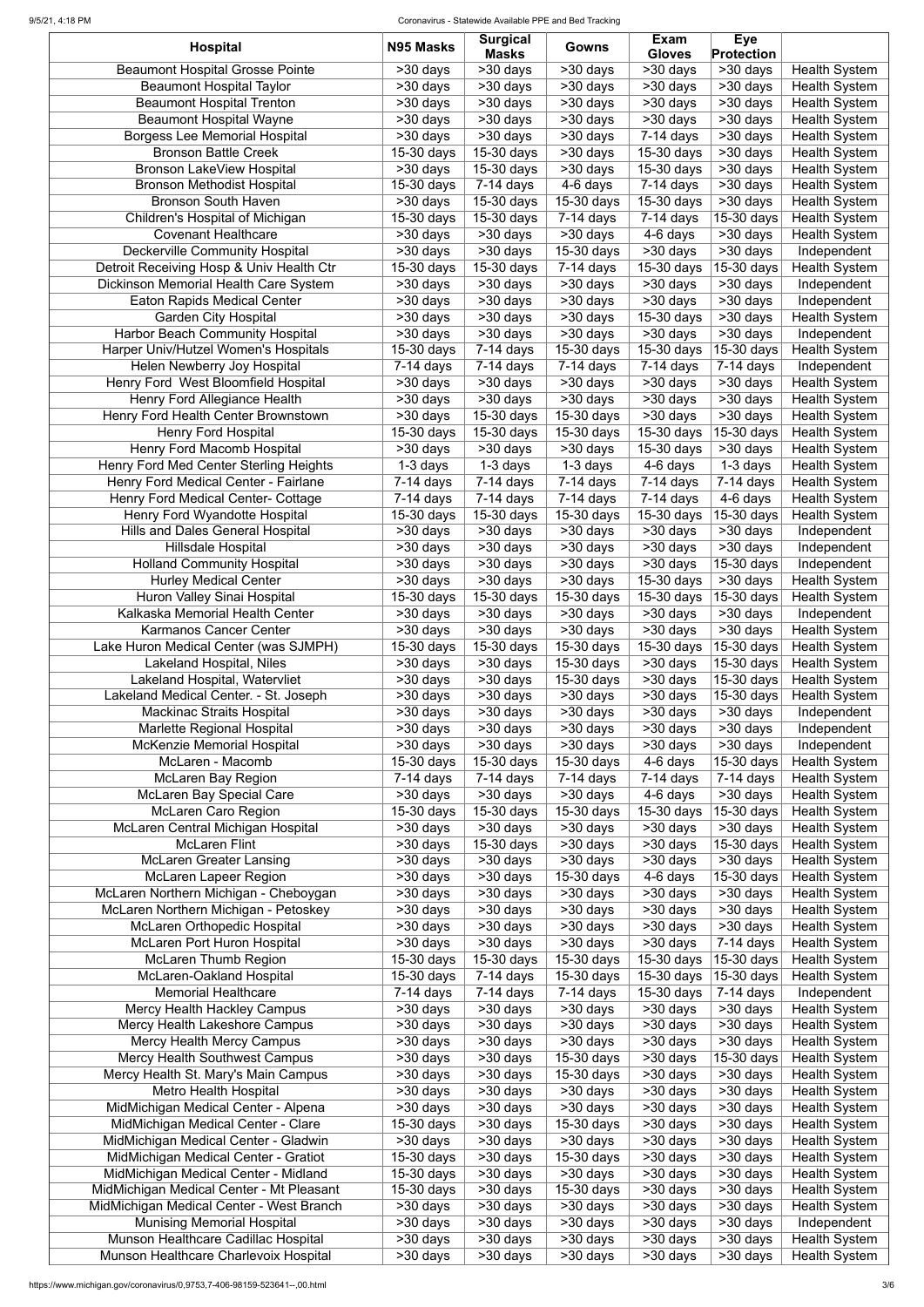### 9/5/21, 4:18 PM Coronavirus - Statewide Available PPE and Bed Tracking

| <b>Hospital</b>                           | N95 Masks                | <b>Surgical</b><br><b>Masks</b> | Gowns                    | <b>Exam</b><br><b>Gloves</b>       | <b>Eye</b><br><b>Protection</b> |                      |
|-------------------------------------------|--------------------------|---------------------------------|--------------------------|------------------------------------|---------------------------------|----------------------|
| <b>Beaumont Hospital Grosse Pointe</b>    | >30 days                 | >30 days                        | >30 days                 | >30 days                           | $\overline{>30}$ days           | <b>Health System</b> |
| <b>Beaumont Hospital Taylor</b>           | >30 days                 | >30 days                        | >30 days                 | >30 days                           | >30 days                        | <b>Health System</b> |
| <b>Beaumont Hospital Trenton</b>          | $>30$ days               | >30 days                        | $>30$ days               | >30 days                           | >30 days                        | <b>Health System</b> |
| <b>Beaumont Hospital Wayne</b>            | >30 days                 | $>30$ days                      | >30 days                 | >30 days                           | >30 days                        | <b>Health System</b> |
| <b>Borgess Lee Memorial Hospital</b>      | $>30$ days               | >30 days                        | >30 days                 | $7-14$ days                        | >30 days                        | <b>Health System</b> |
| <b>Bronson Battle Creek</b>               | $15-30$ days             | 15-30 days                      | >30 days                 | 15-30 days                         | >30 days                        | <b>Health System</b> |
| <b>Bronson LakeView Hospital</b>          | >30 days                 | 15-30 days                      | >30 days                 | 15-30 days                         | >30 days                        | <b>Health System</b> |
| <b>Bronson Methodist Hospital</b>         | 15-30 days               | $7-14$ days                     | 4-6 days                 | 7-14 days                          | >30 days                        | <b>Health System</b> |
| <b>Bronson South Haven</b>                | >30 days                 | 15-30 days                      | 15-30 days               | 15-30 days                         | >30 days                        | <b>Health System</b> |
| Children's Hospital of Michigan           | 15-30 days               | 15-30 days                      | $7-14$ days              | $7-14$ days                        | 15-30 days                      | <b>Health System</b> |
| <b>Covenant Healthcare</b>                | >30 days                 | >30 days                        | >30 days                 | 4-6 days                           | >30 days                        | <b>Health System</b> |
| <b>Deckerville Community Hospital</b>     | >30 days                 | $>30$ days                      | 15-30 days               | >30 days                           | >30 days                        | Independent          |
| Detroit Receiving Hosp & Univ Health Ctr  | 15-30 days               | 15-30 days                      | $7-14$ days              | 15-30 days                         | 15-30 days                      | <b>Health System</b> |
| Dickinson Memorial Health Care System     | >30 days                 | >30 days                        | >30 days                 | >30 days                           | >30 days                        | Independent          |
| <b>Eaton Rapids Medical Center</b>        | >30 days                 | >30 days                        | >30 days                 | >30 days                           | >30 days                        | Independent          |
| <b>Garden City Hospital</b>               | >30 days                 | >30 days                        | >30 days                 | 15-30 days                         | >30 days                        | <b>Health System</b> |
| <b>Harbor Beach Community Hospital</b>    | $>30$ days               | >30 days                        | >30 days                 | >30 days                           | $>30$ days                      | Independent          |
| Harper Univ/Hutzel Women's Hospitals      | $15-30$ days             | $7-14$ days                     | 15-30 days               | 15-30 days                         | 15-30 days                      | <b>Health System</b> |
| Helen Newberry Joy Hospital               | $7-14$ days              | $7-14$ days                     | $\overline{7}$ -14 days  | $7-14$ days                        | $\overline{7}$ -14 days         | Independent          |
| Henry Ford West Bloomfield Hospital       | >30 days                 | >30 days                        | >30 days                 | >30 days                           | >30 days                        | <b>Health System</b> |
| Henry Ford Allegiance Health              | >30 days                 | >30 days                        | >30 days                 | >30 days                           | $\overline{>30}$ days           | <b>Health System</b> |
| Henry Ford Health Center Brownstown       | >30 days                 | 15-30 days                      | 15-30 days               | $\overline{>}30$ days              | $>30$ days                      | <b>Health System</b> |
| <b>Henry Ford Hospital</b>                | 15-30 days               | $15-30$ days                    | $\overline{15}$ -30 days | 15-30 days                         | $15-30$ days                    | <b>Health System</b> |
| Henry Ford Macomb Hospital                | >30 days                 | $>30$ days                      | >30 days                 | 15-30 days                         | >30 days                        | <b>Health System</b> |
| Henry Ford Med Center Sterling Heights    | $\overline{1}$ -3 days   | $1-3$ days                      | $1-3$ days               | 4-6 days                           | 1-3 days                        | <b>Health System</b> |
| Henry Ford Medical Center - Fairlane      | $7-14$ days              | $\overline{7}$ -14 days         | $7-14$ days              | $\overline{7}$ -14 days            | $7-14$ days                     | <b>Health System</b> |
| <b>Henry Ford Medical Center- Cottage</b> | $7-14$ days              | $\overline{7-14}$ days          | $\overline{7}$ -14 days  | $\overline{7-14}$ days             | 4-6 days                        | <b>Health System</b> |
| Henry Ford Wyandotte Hospital             | $\overline{15}$ -30 days | $\overline{15}$ -30 days        | 15-30 days               | $\overline{15}$ -30 days           | $\sqrt{15-30}$ days             | <b>Health System</b> |
| <b>Hills and Dales General Hospital</b>   | >30 days                 | $>30$ days                      | >30 days                 | $>30$ days                         | >30 days                        | Independent          |
| <b>Hillsdale Hospital</b>                 | >30 days                 | >30 days                        | >30 days                 | $\overline{\phantom{1}}$ > 30 days | >30 days                        | Independent          |
| <b>Holland Community Hospital</b>         | >30 days                 | >30 days                        | >30 days                 | >30 days                           | 15-30 days                      | Independent          |
| <b>Hurley Medical Center</b>              | >30 days                 | >30 days                        | >30 days                 | 15-30 days                         | >30 days                        | <b>Health System</b> |
| <b>Huron Valley Sinai Hospital</b>        | 15-30 days               | $15-30$ days                    | 15-30 days               | 15-30 days                         | $15-30$ days                    | <b>Health System</b> |
| Kalkaska Memorial Health Center           | >30 days                 | >30 days                        | >30 days                 | >30 days                           | >30 days                        | Independent          |
| Karmanos Cancer Center                    | >30 days                 | >30 days                        | >30 days                 | >30 days                           | >30 days                        | <b>Health System</b> |
| Lake Huron Medical Center (was SJMPH)     | 15-30 days               | 15-30 days                      | 15-30 days               | 15-30 days                         | 15-30 days                      | <b>Health System</b> |
| Lakeland Hospital, Niles                  | >30 days                 | >30 days                        | 15-30 days               | >30 days                           | 15-30 days                      | <b>Health System</b> |
| Lakeland Hospital, Watervliet             | >30 days                 | >30 days                        | $15-30$ days             | >30 days                           | 15-30 days                      | <b>Health System</b> |
| Lakeland Medical Center. - St. Joseph     | >30 days                 | >30 days                        | >30 days                 | >30 days                           | 15-30 days                      | <b>Health System</b> |
| <b>Mackinac Straits Hospital</b>          | >30 days                 | >30 days                        | >30 days                 | >30 days                           | >30 days                        | Independent          |
| Marlette Regional Hospital                | >30 days                 | >30 days                        | >30 days                 | >30 days                           | >30 days                        | Independent          |
| <b>McKenzie Memorial Hospital</b>         | >30 days                 | >30 days                        | >30 days                 | >30 days                           | >30 days                        | Independent          |
| McLaren - Macomb                          | 15-30 days               | 15-30 days                      | 15-30 days               | 4-6 days                           | 15-30 days                      | <b>Health System</b> |
| <b>McLaren Bay Region</b>                 | $7-14$ days              | $7-14$ days                     | 7-14 days                | $7-14$ days                        | $7-14$ days                     | <b>Health System</b> |
| <b>McLaren Bay Special Care</b>           | >30 days                 | >30 days                        | >30 days                 | 4-6 days                           | >30 days                        | <b>Health System</b> |
| <b>McLaren Caro Region</b>                | 15-30 days               | 15-30 days                      | 15-30 days               | 15-30 days                         | 15-30 days                      | <b>Health System</b> |
| McLaren Central Michigan Hospital         | >30 days                 | >30 days                        | >30 days                 | >30 days                           | >30 days                        | <b>Health System</b> |
| <b>McLaren Flint</b>                      | >30 days                 | 15-30 days                      | >30 days                 | >30 days                           | 15-30 days                      | <b>Health System</b> |
| <b>McLaren Greater Lansing</b>            | >30 days                 | >30 days                        | >30 days                 | >30 days                           | $\overline{>30}$ days           | <b>Health System</b> |
| <b>McLaren Lapeer Region</b>              | >30 days                 | >30 days                        | 15-30 days               | 4-6 days                           | 15-30 days                      | <b>Health System</b> |
| McLaren Northern Michigan - Cheboygan     | >30 days                 | >30 days                        | >30 days                 | >30 days                           | >30 days                        | <b>Health System</b> |
| McLaren Northern Michigan - Petoskey      | >30 days                 | >30 days                        | >30 days                 | >30 days                           | >30 days                        | <b>Health System</b> |
| <b>McLaren Orthopedic Hospital</b>        | $\overline{>30}$ days    | >30 days                        | >30 days                 | >30 days                           | >30 days                        | <b>Health System</b> |
| McLaren Port Huron Hospital               | >30 days                 | $\overline{>30}$ days           | >30 days                 | >30 days                           | $7-14$ days                     | <b>Health System</b> |
| <b>McLaren Thumb Region</b>               | 15-30 days               | 15-30 days                      | 15-30 days               | 15-30 days                         | 15-30 days                      | <b>Health System</b> |
| McLaren-Oakland Hospital                  | $15-30$ days             | $7-14$ days                     | 15-30 days               | 15-30 days                         | 15-30 days                      | <b>Health System</b> |
| <b>Memorial Healthcare</b>                | $7-14$ days              | $7-14$ days                     | $7-14$ days              | 15-30 days                         | $\overline{7-14}$ days          | Independent          |
| Mercy Health Hackley Campus               | >30 days                 | >30 days                        | >30 days                 | >30 days                           | >30 days                        | <b>Health System</b> |
| Mercy Health Lakeshore Campus             | >30 days                 | >30 days                        | >30 days                 | >30 days                           | >30 days                        | <b>Health System</b> |
| <b>Mercy Health Mercy Campus</b>          | >30 days                 | >30 days                        | >30 days                 | >30 days                           | >30 days                        | <b>Health System</b> |
| <b>Mercy Health Southwest Campus</b>      | >30 days                 | >30 days                        | 15-30 days               | >30 days                           | 15-30 days                      | <b>Health System</b> |
| Mercy Health St. Mary's Main Campus       | >30 days                 | >30 days                        | 15-30 days               | >30 days                           | >30 days                        | <b>Health System</b> |
| <b>Metro Health Hospital</b>              | >30 days                 | >30 days                        | >30 days                 | >30 days                           | >30 days                        | <b>Health System</b> |
| MidMichigan Medical Center - Alpena       | >30 days                 | >30 days                        | >30 days                 | >30 days                           | >30 days                        | <b>Health System</b> |
| MidMichigan Medical Center - Clare        | $15-30$ days             | >30 days                        | 15-30 days               | >30 days                           | >30 days                        | <b>Health System</b> |
| MidMichigan Medical Center - Gladwin      | >30 days                 | >30 days                        | >30 days                 | >30 days                           | >30 days                        | <b>Health System</b> |
| MidMichigan Medical Center - Gratiot      | 15-30 days               | >30 days                        | 15-30 days               | >30 days                           | >30 days                        | <b>Health System</b> |
| MidMichigan Medical Center - Midland      | 15-30 days               | >30 days                        | >30 days                 | >30 days                           | >30 days                        | <b>Health System</b> |
| MidMichigan Medical Center - Mt Pleasant  | $15-30$ days             | >30 days                        | 15-30 days               | >30 days                           | >30 days                        | <b>Health System</b> |
| MidMichigan Medical Center - West Branch  | >30 days                 | >30 days                        | >30 days                 | >30 days                           | >30 days                        | <b>Health System</b> |
| <b>Munising Memorial Hospital</b>         | >30 days                 | >30 days                        | >30 days                 | >30 days                           | >30 days                        | Independent          |
| Munson Healthcare Cadillac Hospital       | >30 days                 | >30 days                        | >30 days                 | >30 days                           | >30 days                        | <b>Health System</b> |
| Munson Healthcare Charlevoix Hospital     | >30 days                 | >30 days                        | >30 days                 | >30 days                           | >30 days                        | <b>Health System</b> |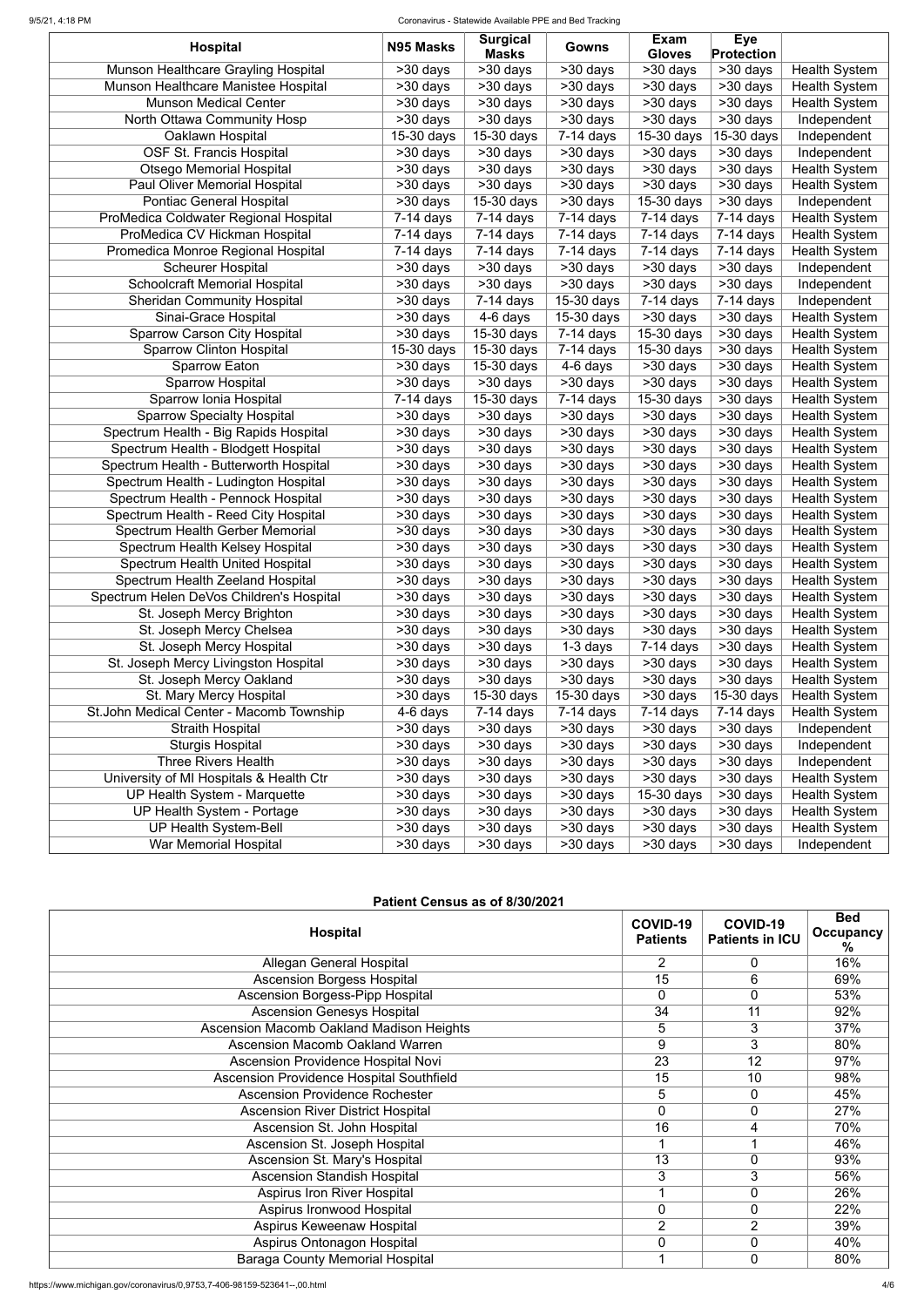## 9/5/21, 4:18 PM Coronavirus - Statewide Available PPE and Bed Tracking

|                                          |                       | <b>Surgical</b>         |                         | <b>Exam</b>           | <b>Eye</b>              |                      |
|------------------------------------------|-----------------------|-------------------------|-------------------------|-----------------------|-------------------------|----------------------|
| <b>Hospital</b>                          | N95 Masks             | <b>Masks</b>            | <b>Gowns</b>            | <b>Gloves</b>         | Protection              |                      |
| Munson Healthcare Grayling Hospital      | >30 days              | $\overline{>30}$ days   | >30 days                | $\overline{>30}$ days | $\overline{>30}$ days   | <b>Health System</b> |
| Munson Healthcare Manistee Hospital      | >30 days              | >30 days                | >30 days                | >30 days              | >30 days                | <b>Health System</b> |
| <b>Munson Medical Center</b>             | >30 days              | >30 days                | >30 days                | >30 days              | >30 days                | <b>Health System</b> |
| North Ottawa Community Hosp              | $>30$ days            | >30 days                | >30 days                | >30 days              | >30 days                | Independent          |
| Oaklawn Hospital                         | 15-30 days            | 15-30 days              | $\overline{7}$ -14 days | 15-30 days            | 15-30 days              | Independent          |
| <b>OSF St. Francis Hospital</b>          | >30 days              | >30 days                | >30 days                | >30 days              | >30 days                | Independent          |
| <b>Otsego Memorial Hospital</b>          | $>30$ days            | >30 days                | >30 days                | $>30$ days            | >30 days                | <b>Health System</b> |
| Paul Oliver Memorial Hospital            | >30 days              | $>30$ days              | $>30$ days              | >30 days              | >30 days                | <b>Health System</b> |
| <b>Pontiac General Hospital</b>          | >30 days              | 15-30 days              | $\overline{>30}$ days   | $15-30$ days          | >30 days                | Independent          |
| ProMedica Coldwater Regional Hospital    | $7-14$ days           | $7-14$ days             | $7-14$ days             | $7-14$ days           | $7-14$ days             | <b>Health System</b> |
| ProMedica CV Hickman Hospital            | $7-14$ days           | $\overline{7}$ -14 days | $7-14$ days             | $7-14$ days           | $\overline{7}$ -14 days | <b>Health System</b> |
| Promedica Monroe Regional Hospital       | $7-14$ days           | $7-14$ days             | $7-14$ days             | $7-14$ days           | $7-14$ days             | <b>Health System</b> |
| <b>Scheurer Hospital</b>                 | >30 days              | >30 days                | >30 days                | >30 days              | >30 days                | Independent          |
| <b>Schoolcraft Memorial Hospital</b>     | >30 days              | >30 days                | >30 days                | >30 days              | >30 days                | Independent          |
| <b>Sheridan Community Hospital</b>       | $\overline{>30}$ days | $\overline{7}$ -14 days | 15-30 days              | $7-14$ days           | $7-14$ days             | Independent          |
| Sinai-Grace Hospital                     | $>30$ days            | 4-6 days                | $15-30$ days            | $>30$ days            | >30 days                | <b>Health System</b> |
| <b>Sparrow Carson City Hospital</b>      | $\overline{>30}$ days | 15-30 days              | $7-14$ days             | 15-30 days            | >30 days                | <b>Health System</b> |
| Sparrow Clinton Hospital                 | 15-30 days            | 15-30 days              | $7-14$ days             | 15-30 days            | >30 days                | <b>Health System</b> |
| <b>Sparrow Eaton</b>                     | >30 days              | 15-30 days              | 4-6 days                | $>30$ days            | >30 days                | <b>Health System</b> |
| <b>Sparrow Hospital</b>                  | >30 days              | $>30$ days              | $\overline{>30}$ days   | >30 days              | >30 days                | <b>Health System</b> |
| Sparrow Ionia Hospital                   | $7-14$ days           | 15-30 days              | $7-14$ days             | 15-30 days            | >30 days                | <b>Health System</b> |
| <b>Sparrow Specialty Hospital</b>        | >30 days              | >30 days                | >30 days                | >30 days              | $\overline{>}30$ days   | <b>Health System</b> |
| Spectrum Health - Big Rapids Hospital    | >30 days              | >30 days                | >30 days                | $\overline{>30}$ days | >30 days                | <b>Health System</b> |
| Spectrum Health - Blodgett Hospital      | >30 days              | $\overline{>30}$ days   | $\overline{>30}$ days   | $\overline{>30}$ days | $\overline{>30}$ days   | <b>Health System</b> |
| Spectrum Health - Butterworth Hospital   | >30 days              | $\overline{>30}$ days   | >30 days                | $\overline{>30}$ days | >30 days                | <b>Health System</b> |
| Spectrum Health - Ludington Hospital     | >30 days              | >30 days                | $>30$ days              | >30 days              | >30 days                | <b>Health System</b> |
| Spectrum Health - Pennock Hospital       | $\overline{>30}$ days | >30 days                | $>30$ days              | $\overline{>30}$ days | >30 days                | <b>Health System</b> |
| Spectrum Health - Reed City Hospital     | $\overline{>}30$ days | $\overline{>30}$ days   | $\overline{>30}$ days   | $\overline{>30}$ days | $\overline{>30}$ days   | <b>Health System</b> |
| Spectrum Health Gerber Memorial          | >30 days              | $>30$ days              | >30 days                | >30 days              | >30 days                | <b>Health System</b> |
| Spectrum Health Kelsey Hospital          | >30 days              | >30 days                | >30 days                | >30 days              | $\overline{>30}$ days   | <b>Health System</b> |
| Spectrum Health United Hospital          | >30 days              | >30 days                | >30 days                | $\overline{>30}$ days | $\overline{>30}$ days   | <b>Health System</b> |
| Spectrum Health Zeeland Hospital         | >30 days              | >30 days                | >30 days                | >30 days              | >30 days                | <b>Health System</b> |
| Spectrum Helen DeVos Children's Hospital | >30 days              | $>30$ days              | >30 days                | >30 days              | >30 days                | <b>Health System</b> |
| St. Joseph Mercy Brighton                | >30 days              | >30 days                | >30 days                | >30 days              | >30 days                | <b>Health System</b> |
| St. Joseph Mercy Chelsea                 | >30 days              | >30 days                | >30 days                | >30 days              | >30 days                | <b>Health System</b> |
| St. Joseph Mercy Hospital                | >30 days              | >30 days                | $1-3$ days              | $7-14$ days           | >30 days                | <b>Health System</b> |
| St. Joseph Mercy Livingston Hospital     | >30 days              | >30 days                | >30 days                | >30 days              | >30 days                | <b>Health System</b> |
| St. Joseph Mercy Oakland                 | >30 days              | >30 days                | >30 days                | >30 days              | >30 days                | <b>Health System</b> |
| St. Mary Mercy Hospital                  | >30 days              | 15-30 days              | 15-30 days              | >30 days              | 15-30 days              | <b>Health System</b> |
| St.John Medical Center - Macomb Township | 4-6 days              | $7-14$ days             | $7-14$ days             | $7-14$ days           | $7-14$ days             | <b>Health System</b> |
| <b>Straith Hospital</b>                  | >30 days              | $>30$ days              | >30 days                | >30 days              | >30 days                | Independent          |
| <b>Sturgis Hospital</b>                  | >30 days              | >30 days                | >30 days                | >30 days              | >30 days                | Independent          |
| <b>Three Rivers Health</b>               | >30 days              | >30 days                | >30 days                | >30 days              | >30 days                | Independent          |
| University of MI Hospitals & Health Ctr  | >30 days              | >30 days                | >30 days                | >30 days              | >30 days                | <b>Health System</b> |
| <b>UP Health System - Marquette</b>      | >30 days              | >30 days                | >30 days                | 15-30 days            | >30 days                | <b>Health System</b> |
| UP Health System - Portage               | >30 days              | >30 days                | >30 days                | >30 days              | >30 days                | <b>Health System</b> |
| <b>UP Health System-Bell</b>             | >30 days              | >30 days                | >30 days                | >30 days              | >30 days                | <b>Health System</b> |
| <b>War Memorial Hospital</b>             | >30 days              | >30 days                | >30 days                | >30 days              | >30 days                | Independent          |

| Patient Census as of 8/30/2021    |                                    |                                    |                                                 |
|-----------------------------------|------------------------------------|------------------------------------|-------------------------------------------------|
| <b>Hospital</b>                   | <b>COVID-19</b><br><b>Patients</b> | COVID-19<br><b>Patients in ICU</b> | <b>Bed</b><br><b>Occupancy</b><br>$\frac{0}{6}$ |
| Allegan General Hospital          |                                    |                                    | 16%                                             |
| <b>Ascension Borgess Hospital</b> | 15                                 |                                    | 69%                                             |

| <b>Ascension Borgess-Pipp Hospital</b>          | $\overline{0}$ | $\overline{0}$ | 53% |
|-------------------------------------------------|----------------|----------------|-----|
| <b>Ascension Genesys Hospital</b>               | 34             | 11             | 92% |
| <b>Ascension Macomb Oakland Madison Heights</b> | 5              | 3              | 37% |
| <b>Ascension Macomb Oakland Warren</b>          | 9              | 3              | 80% |
| Ascension Providence Hospital Novi              | 23             | 12             | 97% |
| <b>Ascension Providence Hospital Southfield</b> | 15             | 10             | 98% |
| <b>Ascension Providence Rochester</b>           | 5              | $\Omega$       | 45% |
| <b>Ascension River District Hospital</b>        | 0              | $\overline{0}$ | 27% |
| Ascension St. John Hospital                     | 16             | 4              | 70% |
| Ascension St. Joseph Hospital                   |                |                | 46% |
| Ascension St. Mary's Hospital                   | 13             | $\overline{0}$ | 93% |
| <b>Ascension Standish Hospital</b>              | 3              | 3              | 56% |
| <b>Aspirus Iron River Hospital</b>              |                | $\overline{0}$ | 26% |
| Aspirus Ironwood Hospital                       | $\Omega$       | $\overline{0}$ | 22% |
| Aspirus Keweenaw Hospital                       | $\overline{2}$ | 2              | 39% |
| <b>Aspirus Ontonagon Hospital</b>               | $\overline{0}$ | $\overline{0}$ | 40% |
| <b>Baraga County Memorial Hospital</b>          |                | 0              | 80% |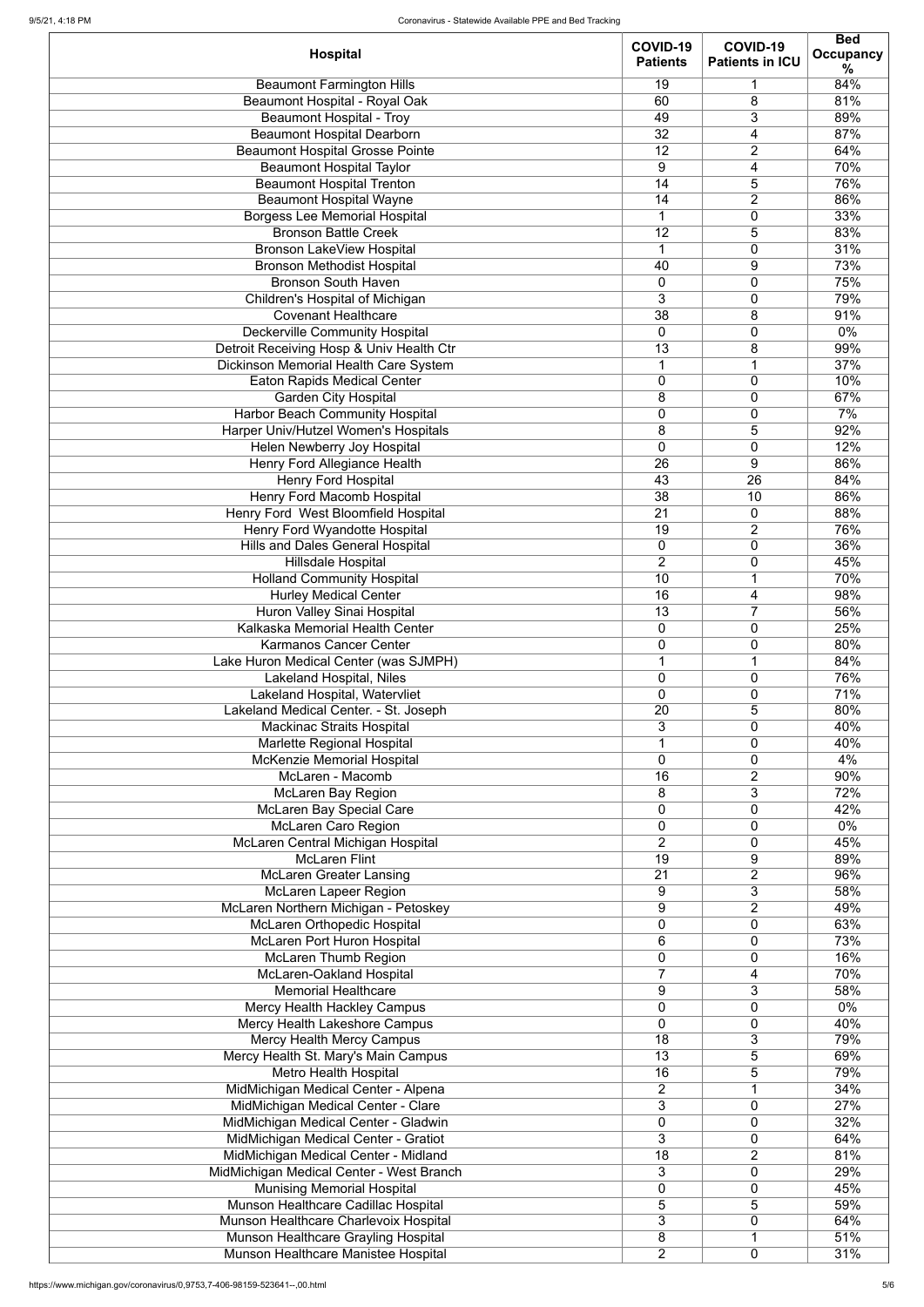| <b>Hospital</b>                                              | COVID-19<br><b>Patients</b> | COVID-19<br><b>Patients in ICU</b> | <b>Bed</b><br><b>Occupancy</b><br>℅ |
|--------------------------------------------------------------|-----------------------------|------------------------------------|-------------------------------------|
| <b>Beaumont Farmington Hills</b>                             | 19                          | $\mathbf 1$                        | 84%                                 |
| <b>Beaumont Hospital - Royal Oak</b>                         | 60                          | 8                                  | 81%                                 |
| <b>Beaumont Hospital - Troy</b>                              | 49                          | 3                                  | 89%                                 |
| <b>Beaumont Hospital Dearborn</b>                            | 32                          | 4                                  | 87%                                 |
| <b>Beaumont Hospital Grosse Pointe</b>                       | 12                          | $\overline{2}$                     | 64%                                 |
| <b>Beaumont Hospital Taylor</b>                              | 9                           | 4                                  | 70%                                 |
| <b>Beaumont Hospital Trenton</b>                             | 14                          | 5                                  | 76%                                 |
| <b>Beaumont Hospital Wayne</b>                               | 14                          | $\overline{2}$                     | 86%                                 |
| <b>Borgess Lee Memorial Hospital</b>                         | $\mathbf 1$                 | 0                                  | 33%                                 |
| <b>Bronson Battle Creek</b>                                  | 12                          | 5                                  | 83%                                 |
| <b>Bronson LakeView Hospital</b>                             | $\overline{1}$              | $\mathbf 0$                        | 31%                                 |
| <b>Bronson Methodist Hospital</b>                            | 40                          | 9                                  | 73%                                 |
| <b>Bronson South Haven</b>                                   | $\mathbf 0$                 | $\mathbf 0$                        | 75%                                 |
| Children's Hospital of Michigan                              | 3                           | $\mathbf 0$                        | 79%                                 |
| <b>Covenant Healthcare</b>                                   | 38                          | 8                                  | 91%                                 |
| <b>Deckerville Community Hospital</b>                        | $\overline{0}$              | 0                                  | $0\%$                               |
| Detroit Receiving Hosp & Univ Health Ctr                     | 13                          | 8                                  | 99%                                 |
| <b>Dickinson Memorial Health Care System</b>                 | $\mathbf 1$                 | $\mathbf 1$                        | 37%                                 |
| <b>Eaton Rapids Medical Center</b>                           | $\boldsymbol{0}$            | $\mathbf 0$                        | 10%                                 |
| <b>Garden City Hospital</b>                                  | 8                           | $\mathbf 0$                        | 67%                                 |
| <b>Harbor Beach Community Hospital</b>                       | $\pmb{0}$                   | $\mathbf 0$                        | 7%                                  |
| Harper Univ/Hutzel Women's Hospitals                         | 8                           | 5                                  | 92%                                 |
| Helen Newberry Joy Hospital                                  | $\mathbf 0$                 | $\mathbf 0$                        | 12%                                 |
| <b>Henry Ford Allegiance Health</b>                          | 26                          | 9                                  | 86%                                 |
| <b>Henry Ford Hospital</b>                                   | 43                          | $\overline{26}$                    | 84%                                 |
| <b>Henry Ford Macomb Hospital</b>                            | 38                          | 10                                 | 86%                                 |
| Henry Ford West Bloomfield Hospital                          | $\overline{21}$             | $\mathbf 0$                        | 88%                                 |
| Henry Ford Wyandotte Hospital                                | 19                          | 2                                  | 76%                                 |
| <b>Hills and Dales General Hospital</b>                      | $\mathbf 0$                 | 0                                  | 36%                                 |
| <b>Hillsdale Hospital</b>                                    | $\overline{2}$              | 0                                  | 45%                                 |
| <b>Holland Community Hospital</b>                            | 10                          | 1                                  | 70%                                 |
| <b>Hurley Medical Center</b>                                 | 16                          | 4                                  | 98%                                 |
| <b>Huron Valley Sinai Hospital</b>                           | 13                          | $\overline{7}$                     | 56%                                 |
| Kalkaska Memorial Health Center                              | $\mathbf 0$                 | 0                                  | 25%                                 |
| <b>Karmanos Cancer Center</b>                                | $\mathbf 0$                 | 0                                  | 80%                                 |
| Lake Huron Medical Center (was SJMPH)                        | $\overline{1}$              | 1                                  | 84%                                 |
| <b>Lakeland Hospital, Niles</b>                              | $\mathbf 0$                 | $\mathbf 0$                        | 76%                                 |
| Lakeland Hospital, Watervliet                                | $\overline{0}$              | 0                                  | 71%                                 |
| Lakeland Medical Center. - St. Joseph                        | 20                          | 5                                  | 80%                                 |
| <b>Mackinac Straits Hospital</b>                             | 3                           | 0                                  | 40%                                 |
| Marlette Regional Hospital                                   | $\overline{1}$              | 0                                  | 40%                                 |
| McKenzie Memorial Hospital<br>McLaren - Macomb               | $\overline{0}$<br>16        | 0<br>$\overline{2}$                | 4%<br>90%                           |
|                                                              | 8                           | 3                                  | 72%                                 |
| <b>McLaren Bay Region</b><br><b>McLaren Bay Special Care</b> | $\mathbf 0$                 | 0                                  | 42%                                 |
| <b>McLaren Caro Region</b>                                   | $\mathbf 0$                 | $\mathbf 0$                        | $0\%$                               |
| McLaren Central Michigan Hospital                            | $\overline{2}$              | $\mathbf 0$                        | 45%                                 |
| <b>McLaren Flint</b>                                         | 19                          | 9                                  | 89%                                 |
| <b>McLaren Greater Lansing</b>                               | 21                          | $\overline{2}$                     | 96%                                 |
| <b>McLaren Lapeer Region</b>                                 | 9                           | 3                                  | 58%                                 |
| McLaren Northern Michigan - Petoskey                         | $9\,$                       | $\overline{2}$                     | 49%                                 |
| <b>McLaren Orthopedic Hospital</b>                           | $\mathbf 0$                 | 0                                  | 63%                                 |
| McLaren Port Huron Hospital                                  | 6                           | 0                                  | 73%                                 |
| <b>McLaren Thumb Region</b>                                  | $\mathbf 0$                 | 0                                  | 16%                                 |
| <b>McLaren-Oakland Hospital</b>                              | $\overline{7}$              | 4                                  | 70%                                 |
| <b>Memorial Healthcare</b>                                   | 9                           | 3                                  | 58%                                 |
| Mercy Health Hackley Campus                                  | $\mathbf 0$                 | 0                                  | $0\%$                               |
| Mercy Health Lakeshore Campus                                | 0                           | 0                                  | 40%                                 |
| <b>Mercy Health Mercy Campus</b>                             | 18                          | 3                                  | 79%                                 |
| Mercy Health St. Mary's Main Campus                          | 13                          | 5                                  | 69%                                 |
| Metro Health Hospital                                        | 16                          | 5                                  | 79%                                 |
| MidMichigan Medical Center - Alpena                          | 2                           | 1                                  | 34%                                 |
| MidMichigan Medical Center - Clare                           | 3                           | $\mathbf 0$                        | 27%                                 |
| MidMichigan Medical Center - Gladwin                         | $\mathbf 0$                 | $\mathbf 0$                        | 32%                                 |
| MidMichigan Medical Center - Gratiot                         | 3                           | 0                                  | 64%                                 |
| MidMichigan Medical Center - Midland                         | 18                          | $\overline{2}$                     | 81%                                 |
| MidMichigan Medical Center - West Branch                     | 3                           | $\mathbf 0$                        | 29%                                 |
| <b>Munising Memorial Hospital</b>                            | $\mathbf 0$                 | 0                                  | 45%                                 |
| Munson Healthcare Cadillac Hospital                          | 5                           | 5                                  | 59%                                 |
| Munson Healthcare Charlevoix Hospital                        | 3                           | $\mathbf 0$                        | 64%                                 |
| Munson Healthcare Grayling Hospital                          | 8                           | 1                                  | 51%                                 |
| Munson Healthcare Manistee Hospital                          | $\overline{2}$              | $\mathbf 0$                        | 31%                                 |